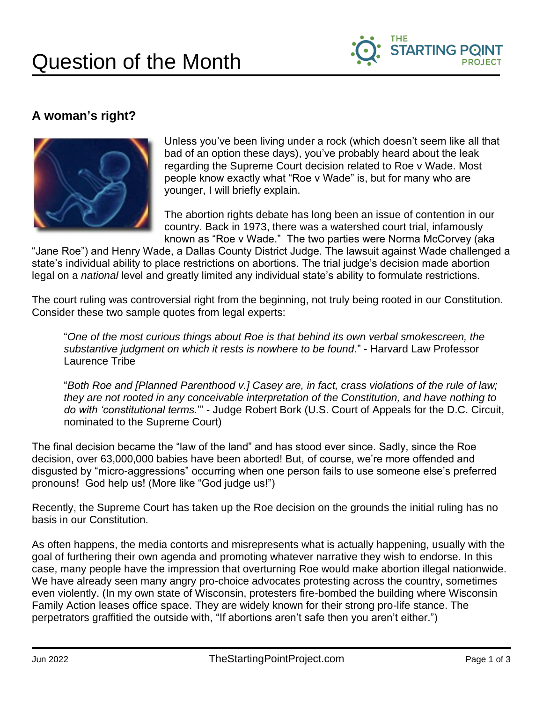

## **A woman's right?**



Unless you've been living under a rock (which doesn't seem like all that bad of an option these days), you've probably heard about the leak regarding the Supreme Court decision related to Roe v Wade. Most people know exactly what "Roe v Wade" is, but for many who are younger, I will briefly explain.

The abortion rights debate has long been an issue of contention in our country. Back in 1973, there was a watershed court trial, infamously known as "Roe v Wade." The two parties were Norma McCorvey (aka

"Jane Roe") and Henry Wade, a Dallas County District Judge. The lawsuit against Wade challenged a state's individual ability to place restrictions on abortions. The trial judge's decision made abortion legal on a *national* level and greatly limited any individual state's ability to formulate restrictions.

The court ruling was controversial right from the beginning, not truly being rooted in our Constitution. Consider these two sample quotes from legal experts:

"*One of the most curious things about Roe is that behind its own verbal smokescreen, the substantive judgment on which it rests is nowhere to be found*." - Harvard Law Professor Laurence Tribe

"*Both Roe and [Planned Parenthood v.] Casey are, in fact, crass violations of the rule of law; they are not rooted in any conceivable interpretation of the Constitution, and have nothing to do with 'constitutional terms.*'" - Judge Robert Bork (U.S. Court of Appeals for the D.C. Circuit, nominated to the Supreme Court)

The final decision became the "law of the land" and has stood ever since. Sadly, since the Roe decision, over 63,000,000 babies have been aborted! But, of course, we're more offended and disgusted by "micro-aggressions" occurring when one person fails to use someone else's preferred pronouns! God help us! (More like "God judge us!")

Recently, the Supreme Court has taken up the Roe decision on the grounds the initial ruling has no basis in our Constitution.

As often happens, the media contorts and misrepresents what is actually happening, usually with the goal of furthering their own agenda and promoting whatever narrative they wish to endorse. In this case, many people have the impression that overturning Roe would make abortion illegal nationwide. We have already seen many angry pro-choice advocates protesting across the country, sometimes even violently. (In my own state of Wisconsin, protesters fire-bombed the building where Wisconsin Family Action leases office space. They are widely known for their strong pro-life stance. The perpetrators graffitied the outside with, "If abortions aren't safe then you aren't either.")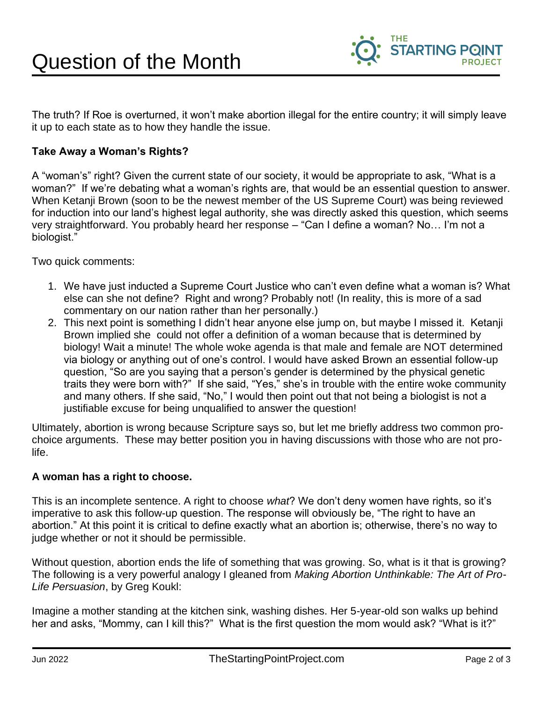

The truth? If Roe is overturned, it won't make abortion illegal for the entire country; it will simply leave it up to each state as to how they handle the issue.

## **Take Away a Woman's Rights?**

A "woman's" right? Given the current state of our society, it would be appropriate to ask, "What is a woman?" If we're debating what a woman's rights are, that would be an essential question to answer. When Ketanji Brown (soon to be the newest member of the US Supreme Court) was being reviewed for induction into our land's highest legal authority, she was directly asked this question, which seems very straightforward. You probably heard her response – "Can I define a woman? No… I'm not a biologist."

Two quick comments:

- 1. We have just inducted a Supreme Court Justice who can't even define what a woman is? What else can she not define? Right and wrong? Probably not! (In reality, this is more of a sad commentary on our nation rather than her personally.)
- 2. This next point is something I didn't hear anyone else jump on, but maybe I missed it. Ketanji Brown implied she could not offer a definition of a woman because that is determined by biology! Wait a minute! The whole woke agenda is that male and female are NOT determined via biology or anything out of one's control. I would have asked Brown an essential follow-up question, "So are you saying that a person's gender is determined by the physical genetic traits they were born with?" If she said, "Yes," she's in trouble with the entire woke community and many others. If she said, "No," I would then point out that not being a biologist is not a justifiable excuse for being unqualified to answer the question!

Ultimately, abortion is wrong because Scripture says so, but let me briefly address two common prochoice arguments. These may better position you in having discussions with those who are not prolife.

## **A woman has a right to choose.**

This is an incomplete sentence. A right to choose *what*? We don't deny women have rights, so it's imperative to ask this follow-up question. The response will obviously be, "The right to have an abortion." At this point it is critical to define exactly what an abortion is; otherwise, there's no way to judge whether or not it should be permissible.

Without question, abortion ends the life of something that was growing. So, what is it that is growing? The following is a very powerful analogy I gleaned from *Making Abortion Unthinkable: The Art of Pro-Life Persuasion*, by Greg Koukl:

Imagine a mother standing at the kitchen sink, washing dishes. Her 5-year-old son walks up behind her and asks, "Mommy, can I kill this?" What is the first question the mom would ask? "What is it?"